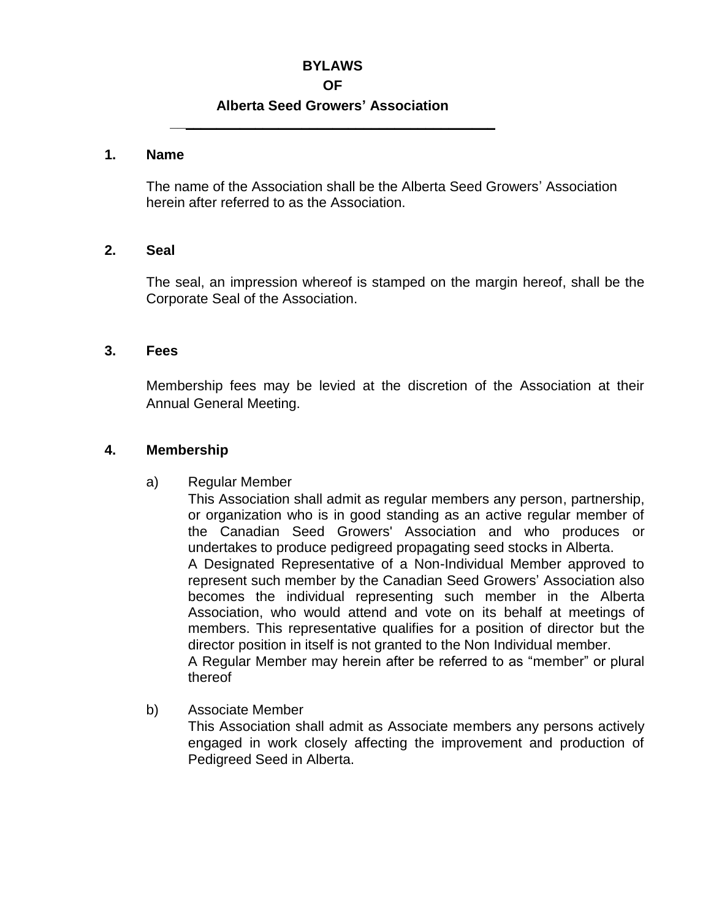#### **BYLAWS**

**OF**

#### **Alberta Seed Growers' Association \_\_\_\_\_\_\_\_\_\_\_\_\_\_\_\_\_\_\_\_\_\_\_\_\_\_\_\_\_\_\_\_\_\_\_\_\_\_\_\_\_\_**

## **1. Name**

The name of the Association shall be the Alberta Seed Growers' Association herein after referred to as the Association.

### **2. Seal**

The seal, an impression whereof is stamped on the margin hereof, shall be the Corporate Seal of the Association.

#### **3. Fees**

Membership fees may be levied at the discretion of the Association at their Annual General Meeting.

#### **4. Membership**

a) Regular Member

This Association shall admit as regular members any person, partnership, or organization who is in good standing as an active regular member of the Canadian Seed Growers' Association and who produces or undertakes to produce pedigreed propagating seed stocks in Alberta. A Designated Representative of a Non-Individual Member approved to represent such member by the Canadian Seed Growers' Association also becomes the individual representing such member in the Alberta Association, who would attend and vote on its behalf at meetings of members. This representative qualifies for a position of director but the director position in itself is not granted to the Non Individual member. A Regular Member may herein after be referred to as "member" or plural thereof

b) Associate Member

This Association shall admit as Associate members any persons actively engaged in work closely affecting the improvement and production of Pedigreed Seed in Alberta.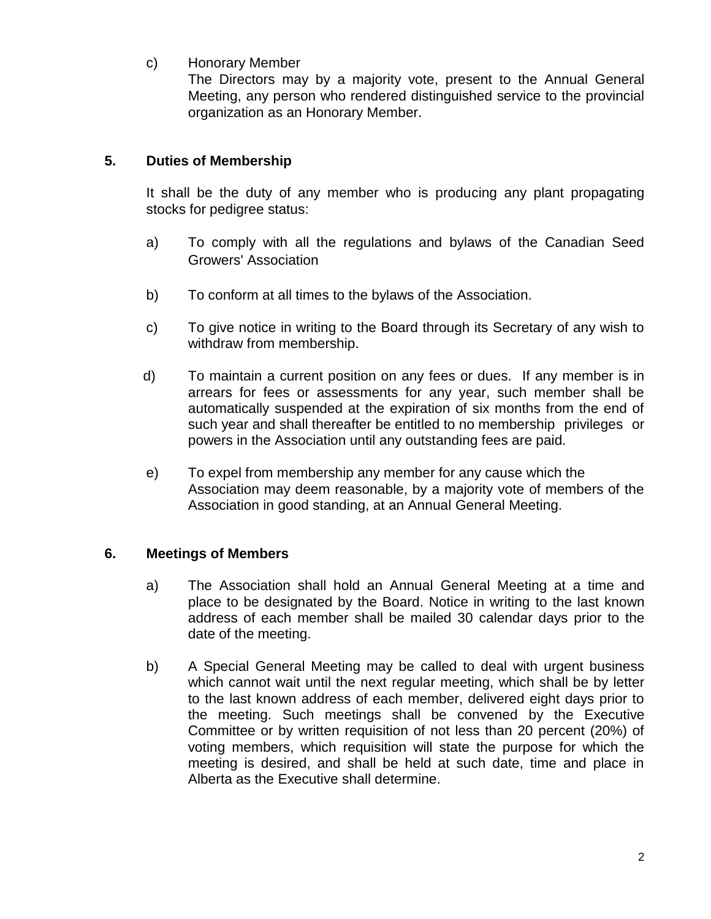c) Honorary Member

The Directors may by a majority vote, present to the Annual General Meeting, any person who rendered distinguished service to the provincial organization as an Honorary Member.

# **5. Duties of Membership**

It shall be the duty of any member who is producing any plant propagating stocks for pedigree status:

- a) To comply with all the regulations and bylaws of the Canadian Seed Growers' Association
- b) To conform at all times to the bylaws of the Association.
- c) To give notice in writing to the Board through its Secretary of any wish to withdraw from membership.
- d) To maintain a current position on any fees or dues. If any member is in arrears for fees or assessments for any year, such member shall be automatically suspended at the expiration of six months from the end of such year and shall thereafter be entitled to no membership privileges or powers in the Association until any outstanding fees are paid.
- e) To expel from membership any member for any cause which the Association may deem reasonable, by a majority vote of members of the Association in good standing, at an Annual General Meeting.

## **6. Meetings of Members**

- a) The Association shall hold an Annual General Meeting at a time and place to be designated by the Board. Notice in writing to the last known address of each member shall be mailed 30 calendar days prior to the date of the meeting.
- b) A Special General Meeting may be called to deal with urgent business which cannot wait until the next regular meeting, which shall be by letter to the last known address of each member, delivered eight days prior to the meeting. Such meetings shall be convened by the Executive Committee or by written requisition of not less than 20 percent (20%) of voting members, which requisition will state the purpose for which the meeting is desired, and shall be held at such date, time and place in Alberta as the Executive shall determine.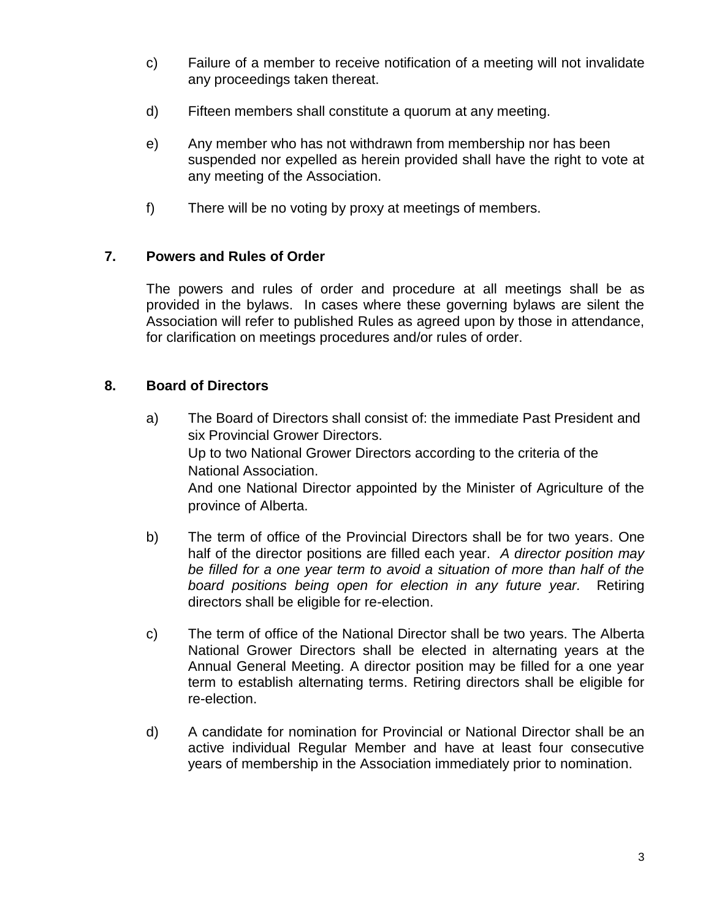- c) Failure of a member to receive notification of a meeting will not invalidate any proceedings taken thereat.
- d) Fifteen members shall constitute a quorum at any meeting.
- e) Any member who has not withdrawn from membership nor has been suspended nor expelled as herein provided shall have the right to vote at any meeting of the Association.
- f) There will be no voting by proxy at meetings of members.

# **7. Powers and Rules of Order**

The powers and rules of order and procedure at all meetings shall be as provided in the bylaws. In cases where these governing bylaws are silent the Association will refer to published Rules as agreed upon by those in attendance, for clarification on meetings procedures and/or rules of order.

# **8. Board of Directors**

- a) The Board of Directors shall consist of: the immediate Past President and six Provincial Grower Directors. Up to two National Grower Directors according to the criteria of the National Association. And one National Director appointed by the Minister of Agriculture of the province of Alberta.
- b) The term of office of the Provincial Directors shall be for two years. One half of the director positions are filled each year. *A director position may be filled for a one year term to avoid a situation of more than half of the board positions being open for election in any future year.* Retiring directors shall be eligible for re-election.
- c) The term of office of the National Director shall be two years. The Alberta National Grower Directors shall be elected in alternating years at the Annual General Meeting. A director position may be filled for a one year term to establish alternating terms. Retiring directors shall be eligible for re-election.
- d) A candidate for nomination for Provincial or National Director shall be an active individual Regular Member and have at least four consecutive years of membership in the Association immediately prior to nomination.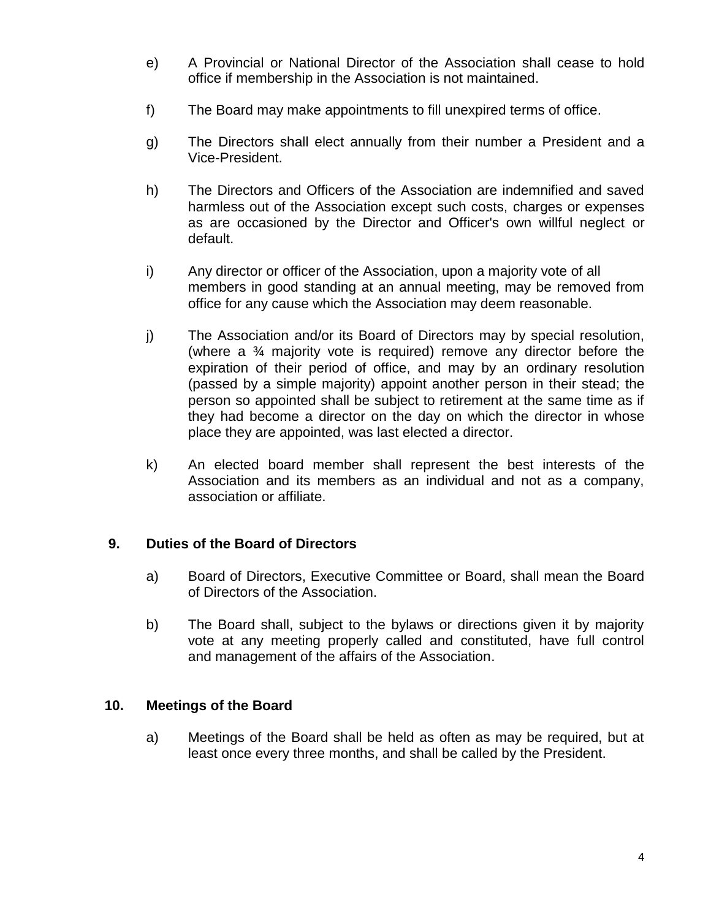- e) A Provincial or National Director of the Association shall cease to hold office if membership in the Association is not maintained.
- f) The Board may make appointments to fill unexpired terms of office.
- g) The Directors shall elect annually from their number a President and a Vice-President.
- h) The Directors and Officers of the Association are indemnified and saved harmless out of the Association except such costs, charges or expenses as are occasioned by the Director and Officer's own willful neglect or default.
- i) Any director or officer of the Association, upon a majority vote of all members in good standing at an annual meeting, may be removed from office for any cause which the Association may deem reasonable.
- j) The Association and/or its Board of Directors may by special resolution, (where a  $\frac{3}{4}$  majority vote is required) remove any director before the expiration of their period of office, and may by an ordinary resolution (passed by a simple majority) appoint another person in their stead; the person so appointed shall be subject to retirement at the same time as if they had become a director on the day on which the director in whose place they are appointed, was last elected a director.
- k) An elected board member shall represent the best interests of the Association and its members as an individual and not as a company, association or affiliate.

## **9. Duties of the Board of Directors**

- a) Board of Directors, Executive Committee or Board, shall mean the Board of Directors of the Association.
- b) The Board shall, subject to the bylaws or directions given it by majority vote at any meeting properly called and constituted, have full control and management of the affairs of the Association.

## **10. Meetings of the Board**

a) Meetings of the Board shall be held as often as may be required, but at least once every three months, and shall be called by the President.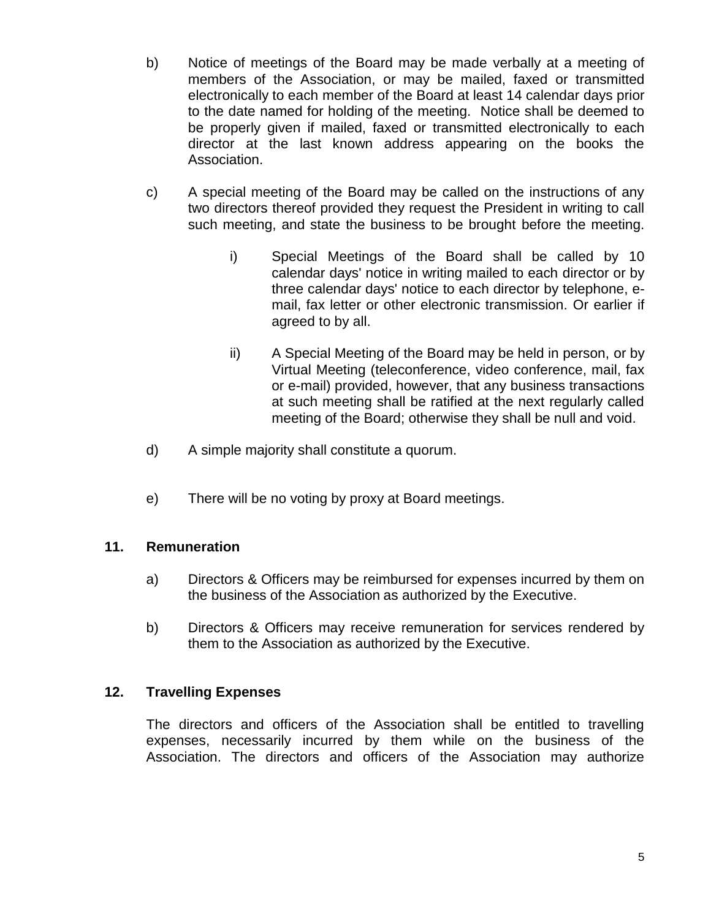- b) Notice of meetings of the Board may be made verbally at a meeting of members of the Association, or may be mailed, faxed or transmitted electronically to each member of the Board at least 14 calendar days prior to the date named for holding of the meeting. Notice shall be deemed to be properly given if mailed, faxed or transmitted electronically to each director at the last known address appearing on the books the Association.
- c) A special meeting of the Board may be called on the instructions of any two directors thereof provided they request the President in writing to call such meeting, and state the business to be brought before the meeting.
	- i) Special Meetings of the Board shall be called by 10 calendar days' notice in writing mailed to each director or by three calendar days' notice to each director by telephone, email, fax letter or other electronic transmission. Or earlier if agreed to by all.
	- ii) A Special Meeting of the Board may be held in person, or by Virtual Meeting (teleconference, video conference, mail, fax or e-mail) provided, however, that any business transactions at such meeting shall be ratified at the next regularly called meeting of the Board; otherwise they shall be null and void.
- d) A simple majority shall constitute a quorum.
- e) There will be no voting by proxy at Board meetings.

## **11. Remuneration**

- a) Directors & Officers may be reimbursed for expenses incurred by them on the business of the Association as authorized by the Executive.
- b) Directors & Officers may receive remuneration for services rendered by them to the Association as authorized by the Executive.

# **12. Travelling Expenses**

The directors and officers of the Association shall be entitled to travelling expenses, necessarily incurred by them while on the business of the Association. The directors and officers of the Association may authorize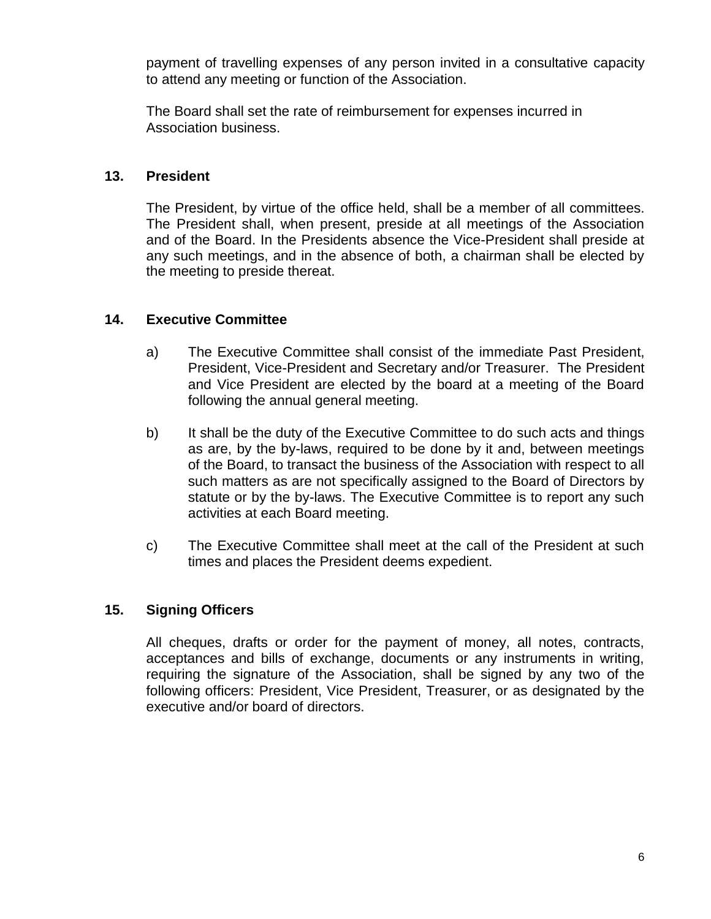payment of travelling expenses of any person invited in a consultative capacity to attend any meeting or function of the Association.

The Board shall set the rate of reimbursement for expenses incurred in Association business.

# **13. President**

The President, by virtue of the office held, shall be a member of all committees. The President shall, when present, preside at all meetings of the Association and of the Board. In the Presidents absence the Vice-President shall preside at any such meetings, and in the absence of both, a chairman shall be elected by the meeting to preside thereat.

# **14. Executive Committee**

- a) The Executive Committee shall consist of the immediate Past President, President, Vice-President and Secretary and/or Treasurer. The President and Vice President are elected by the board at a meeting of the Board following the annual general meeting.
- b) It shall be the duty of the Executive Committee to do such acts and things as are, by the by-laws, required to be done by it and, between meetings of the Board, to transact the business of the Association with respect to all such matters as are not specifically assigned to the Board of Directors by statute or by the by-laws. The Executive Committee is to report any such activities at each Board meeting.
- c) The Executive Committee shall meet at the call of the President at such times and places the President deems expedient.

# **15. Signing Officers**

All cheques, drafts or order for the payment of money, all notes, contracts, acceptances and bills of exchange, documents or any instruments in writing, requiring the signature of the Association, shall be signed by any two of the following officers: President, Vice President, Treasurer, or as designated by the executive and/or board of directors.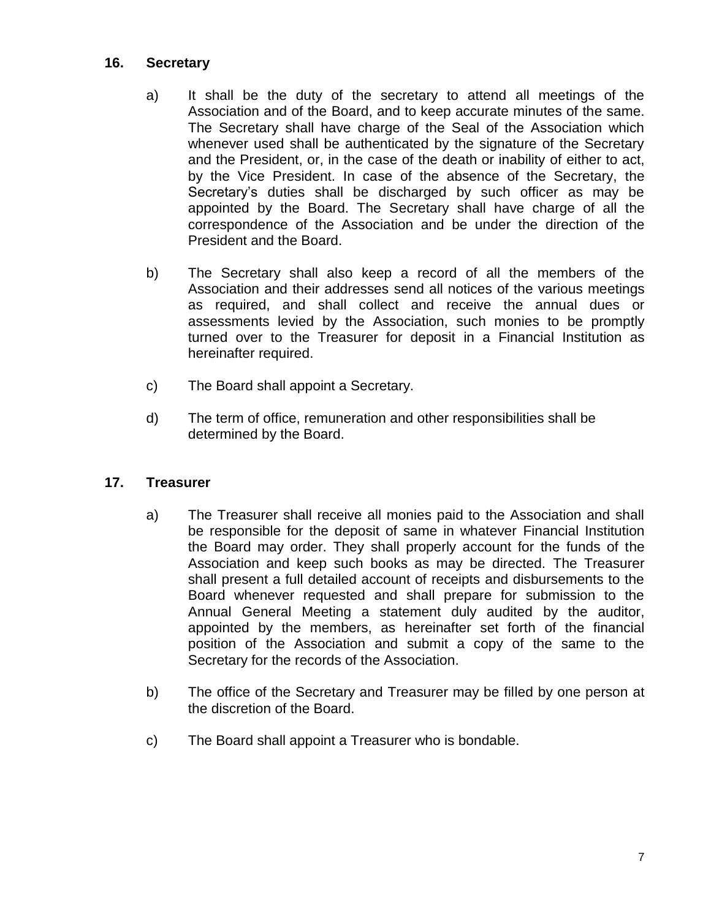# **16. Secretary**

- a) It shall be the duty of the secretary to attend all meetings of the Association and of the Board, and to keep accurate minutes of the same. The Secretary shall have charge of the Seal of the Association which whenever used shall be authenticated by the signature of the Secretary and the President, or, in the case of the death or inability of either to act, by the Vice President. In case of the absence of the Secretary, the Secretary's duties shall be discharged by such officer as may be appointed by the Board. The Secretary shall have charge of all the correspondence of the Association and be under the direction of the President and the Board.
- b) The Secretary shall also keep a record of all the members of the Association and their addresses send all notices of the various meetings as required, and shall collect and receive the annual dues or assessments levied by the Association, such monies to be promptly turned over to the Treasurer for deposit in a Financial Institution as hereinafter required.
- c) The Board shall appoint a Secretary.
- d) The term of office, remuneration and other responsibilities shall be determined by the Board.

## **17. Treasurer**

- a) The Treasurer shall receive all monies paid to the Association and shall be responsible for the deposit of same in whatever Financial Institution the Board may order. They shall properly account for the funds of the Association and keep such books as may be directed. The Treasurer shall present a full detailed account of receipts and disbursements to the Board whenever requested and shall prepare for submission to the Annual General Meeting a statement duly audited by the auditor, appointed by the members, as hereinafter set forth of the financial position of the Association and submit a copy of the same to the Secretary for the records of the Association.
- b) The office of the Secretary and Treasurer may be filled by one person at the discretion of the Board.
- c) The Board shall appoint a Treasurer who is bondable.